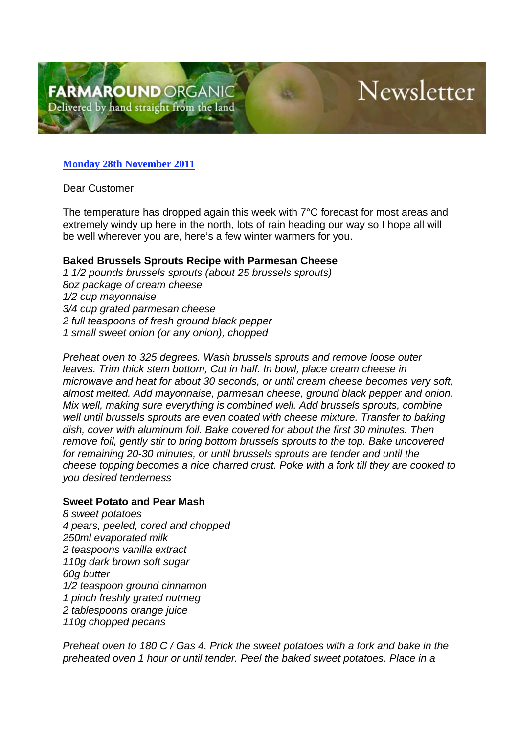## Newsletter

## **Monday 28th November 2011**

Dear Customer

The temperature has dropped again this week with 7°C forecast for most areas and extremely windy up here in the north, lots of rain heading our way so I hope all will be well wherever you are, here's a few winter warmers for you.

## **Baked Brussels Sprouts Recipe with Parmesan Cheese**

*1 1/2 pounds brussels sprouts (about 25 brussels sprouts) 8oz package of cream cheese 1/2 cup mayonnaise 3/4 cup grated parmesan cheese 2 full teaspoons of fresh ground black pepper 1 small sweet onion (or any onion), chopped*

*Preheat oven to 325 degrees. Wash brussels sprouts and remove loose outer leaves. Trim thick stem bottom, Cut in half. In bowl, place cream cheese in microwave and heat for about 30 seconds, or until cream cheese becomes very soft, almost melted. Add mayonnaise, parmesan cheese, ground black pepper and onion. Mix well, making sure everything is combined well. Add brussels sprouts, combine well until brussels sprouts are even coated with cheese mixture. Transfer to baking dish, cover with aluminum foil. Bake covered for about the first 30 minutes. Then remove foil, gently stir to bring bottom brussels sprouts to the top. Bake uncovered for remaining 20-30 minutes, or until brussels sprouts are tender and until the cheese topping becomes a nice charred crust. Poke with a fork till they are cooked to you desired tenderness*

## **Sweet Potato and Pear Mash**

*8 sweet potatoes 4 pears, peeled, cored and chopped 250ml evaporated milk 2 teaspoons vanilla extract 110g dark brown soft sugar 60g butter 1/2 teaspoon ground cinnamon 1 pinch freshly grated nutmeg 2 tablespoons orange juice 110g chopped pecans*

*Preheat oven to 180 C / Gas 4. Prick the sweet potatoes with a fork and bake in the preheated oven 1 hour or until tender. Peel the baked sweet potatoes. Place in a*